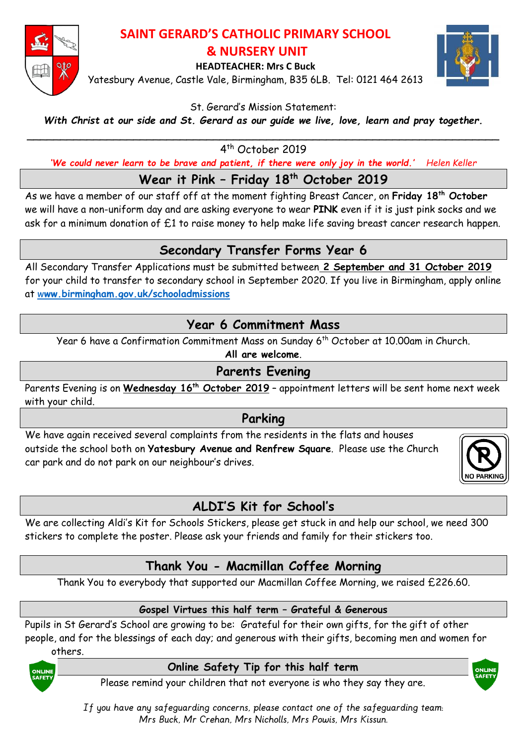

### **SAINT GERARD'S CATHOLIC PRIMARY SCHOOL & NURSERY UNIT**

**HEADTEACHER: Mrs C Buck**

Yatesbury Avenue, Castle Vale, Birmingham, B35 6LB. Tel: 0121 464 2613



St. Gerard's Mission Statement:

*With Christ at our side and St. Gerard as our guide we live, love, learn and pray together.*

\_\_\_\_\_\_\_\_\_\_\_\_\_\_\_\_\_\_\_\_\_\_\_\_\_\_\_\_\_\_\_\_\_\_\_\_\_\_\_\_\_\_\_\_\_\_\_\_\_\_\_\_\_\_\_\_\_\_\_\_\_\_\_\_\_\_\_\_\_\_\_ 4 th October 2019

'We could never learn to be brave and patient, if there were only joy in the world.' Helen Keller

**Wear it Pink – Friday 18th October 2019** 

As we have a member of our staff off at the moment fighting Breast Cancer, on **Friday 18th October** we will have a non-uniform day and are asking everyone to wear **PINK** even if it is just pink socks and we ask for a minimum donation of £1 to raise money to help make life saving breast cancer research happen.

## **Secondary Transfer Forms Year 6**

All Secondary Transfer Applications must be submitted between **2 September and 31 October 2019** for your child to transfer to secondary school in September 2020. If you live in Birmingham, apply online at w**[ww.birmingham.gov.uk/schooladmissions](http://www.birmingham.gov.uk/schooladmissions)**

## **Year 6 Commitment Mass**

Year 6 have a Confirmation Commitment Mass on Sunday 6 th October at 10.00am in Church.

**All are welcome**.

## **Parents Evening**

Parents Evening is on **Wednesday 16 th October 2019** – appointment letters will be sent home next week with your child.

### **Parking**

We have again received several complaints from the residents in the flats and houses outside the school both on **Yatesbury Avenue and Renfrew Square**. Please use the Church car park and do not park on our neighbour's drives.



# **ALDI'S Kit for School's**

We are collecting Aldi's Kit for Schools Stickers, please get stuck in and help our school, we need 300 stickers to complete the poster. Please ask your friends and family for their stickers too.

# **Thank You - Macmillan Coffee Morning**

Thank You to everybody that supported our Macmillan Coffee Morning, we raised £226.60.

#### **Gospel Virtues this half term – Grateful & Generous**

Pupils in St Gerard's School are growing to be: Grateful for their own gifts, for the gift of other people, and for the blessings of each day; and generous with their gifts, becoming men and women for others.



#### **Online Safety Tip for this half term**



Please remind your children that not everyone is who they say they are.

*If you have any safeguarding concerns, please contact one of the safeguarding team: Mrs Buck, Mr Crehan, Mrs Nicholls, Mrs Powis, Mrs Kissun.*